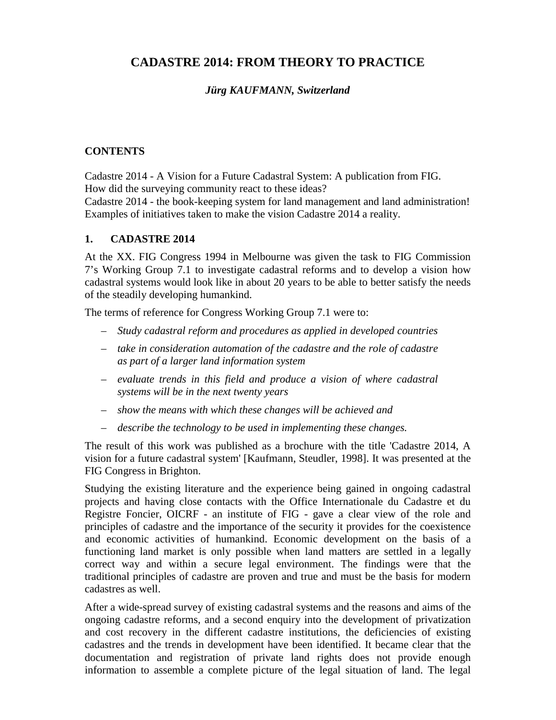# **CADASTRE 2014: FROM THEORY TO PRACTICE**

# *Jürg KAUFMANN, Switzerland*

### **CONTENTS**

Cadastre 2014 - A Vision for a Future Cadastral System: A publication from FIG. How did the surveying community react to these ideas?

Cadastre 2014 - the book-keeping system for land management and land administration! Examples of initiatives taken to make the vision Cadastre 2014 a reality.

#### **1. CADASTRE 2014**

At the XX. FIG Congress 1994 in Melbourne was given the task to FIG Commission 7's Working Group 7.1 to investigate cadastral reforms and to develop a vision how cadastral systems would look like in about 20 years to be able to better satisfy the needs of the steadily developing humankind.

The terms of reference for Congress Working Group 7.1 were to:

- *Study cadastral reform and procedures as applied in developed countries*
- *take in consideration automation of the cadastre and the role of cadastre as part of a larger land information system*
- *evaluate trends in this field and produce a vision of where cadastral systems will be in the next twenty years*
- *show the means with which these changes will be achieved and*
- *describe the technology to be used in implementing these changes.*

The result of this work was published as a brochure with the title 'Cadastre 2014, A vision for a future cadastral system' [Kaufmann, Steudler, 1998]. It was presented at the FIG Congress in Brighton.

Studying the existing literature and the experience being gained in ongoing cadastral projects and having close contacts with the Office Internationale du Cadastre et du Registre Foncier, OICRF - an institute of FIG - gave a clear view of the role and principles of cadastre and the importance of the security it provides for the coexistence and economic activities of humankind. Economic development on the basis of a functioning land market is only possible when land matters are settled in a legally correct way and within a secure legal environment. The findings were that the traditional principles of cadastre are proven and true and must be the basis for modern cadastres as well.

After a wide-spread survey of existing cadastral systems and the reasons and aims of the ongoing cadastre reforms, and a second enquiry into the development of privatization and cost recovery in the different cadastre institutions, the deficiencies of existing cadastres and the trends in development have been identified. It became clear that the documentation and registration of private land rights does not provide enough information to assemble a complete picture of the legal situation of land. The legal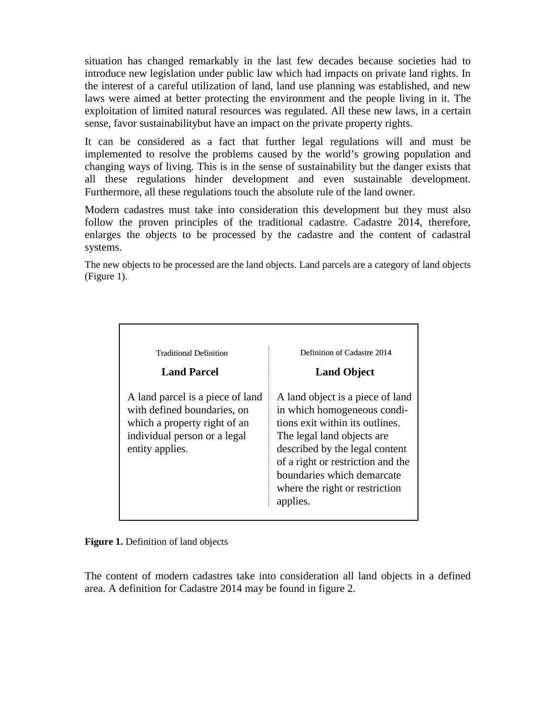situation has changed remarkably in the last few decades because societies had to introduce new legislation under public law which had impacts on private land rights. In the interest of a careful utilization of land, land use planning was established, and new laws were aimed at better protecting the environment and the people living in it. The exploitation of limited natural resources was regulated. All these new laws, in a certain sense, favor sustainabilitybut have an impact on the private property rights.

It can be considered as a fact that further legal regulations will and must be implemented to resolve the problems caused by the world's growing population and changing ways of living. This is in the sense of sustainability but the danger exists that all these regulations hinder development and even sustainable development. Furthermore, all these regulations touch the absolute rule of the land owner.

Modern cadastres must take into consideration this development but they must also follow the proven principles of the traditional cadastre. Cadastre 2014, therefore, enlarges the objects to be processed by the cadastre and the content of cadastral systems.

The new objects to be processed are the land objects. Land parcels are a category of land objects (Figure 1).

| <b>Traditional Definition</b>                                                                                                                      | Definition of Cadastre 2014                                                                                                                                                                                                                                                         |
|----------------------------------------------------------------------------------------------------------------------------------------------------|-------------------------------------------------------------------------------------------------------------------------------------------------------------------------------------------------------------------------------------------------------------------------------------|
| <b>Land Parcel</b>                                                                                                                                 | <b>Land Object</b>                                                                                                                                                                                                                                                                  |
| A land parcel is a piece of land<br>with defined boundaries, on<br>which a property right of an<br>individual person or a legal<br>entity applies. | A land object is a piece of land<br>in which homogeneous condi-<br>tions exit within its outlines.<br>The legal land objects are<br>described by the legal content<br>of a right or restriction and the<br>boundaries which demarcate<br>where the right or restriction<br>applies. |

**Figure 1.** Definition of land objects

The content of modern cadastres take into consideration all land objects in a defined area. A definition for Cadastre 2014 may be found in figure 2.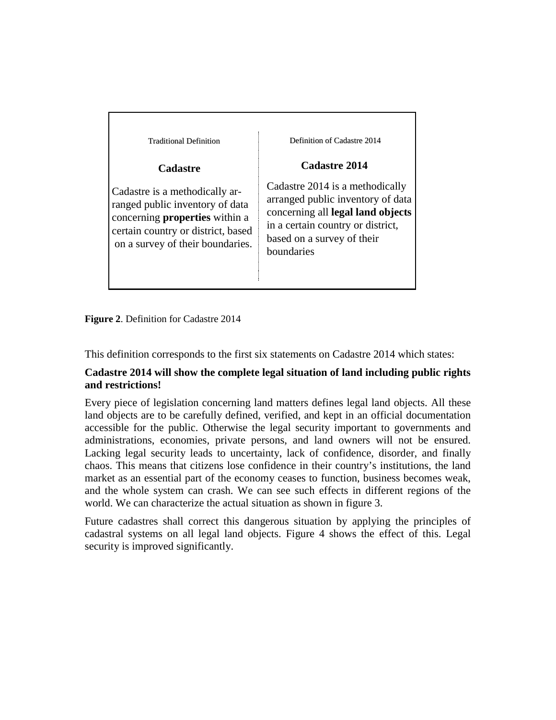| <b>Traditional Definition</b>                                                                                                                                                        | Definition of Cadastre 2014                                                                                                                                                                |
|--------------------------------------------------------------------------------------------------------------------------------------------------------------------------------------|--------------------------------------------------------------------------------------------------------------------------------------------------------------------------------------------|
| <b>Cadastre</b>                                                                                                                                                                      | Cadastre 2014                                                                                                                                                                              |
| Cadastre is a methodically ar-<br>ranged public inventory of data<br>concerning <b>properties</b> within a<br>certain country or district, based<br>on a survey of their boundaries. | Cadastre 2014 is a methodically<br>arranged public inventory of data<br>concerning all legal land objects<br>in a certain country or district,<br>based on a survey of their<br>boundaries |

**Figure 2**. Definition for Cadastre 2014

This definition corresponds to the first six statements on Cadastre 2014 which states:

### **Cadastre 2014 will show the complete legal situation of land including public rights and restrictions!**

Every piece of legislation concerning land matters defines legal land objects. All these land objects are to be carefully defined, verified, and kept in an official documentation accessible for the public. Otherwise the legal security important to governments and administrations, economies, private persons, and land owners will not be ensured. Lacking legal security leads to uncertainty, lack of confidence, disorder, and finally chaos. This means that citizens lose confidence in their country's institutions, the land market as an essential part of the economy ceases to function, business becomes weak, and the whole system can crash. We can see such effects in different regions of the world. We can characterize the actual situation as shown in figure 3.

Future cadastres shall correct this dangerous situation by applying the principles of cadastral systems on all legal land objects. Figure 4 shows the effect of this. Legal security is improved significantly.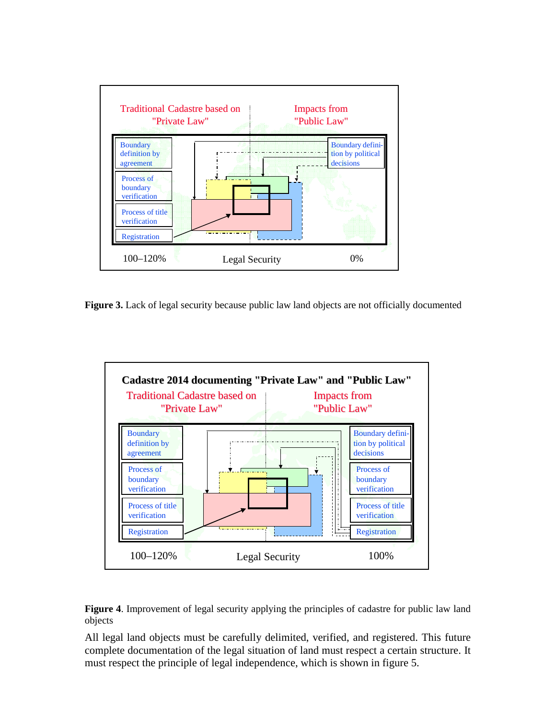

**Figure 3.** Lack of legal security because public law land objects are not officially documented





All legal land objects must be carefully delimited, verified, and registered. This future complete documentation of the legal situation of land must respect a certain structure. It must respect the principle of legal independence, which is shown in figure 5.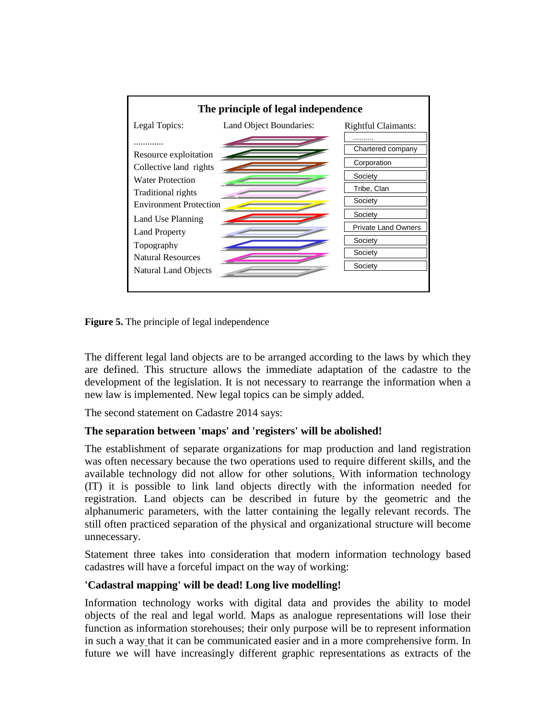

**Figure 5.** The principle of legal independence

The different legal land objects are to be arranged according to the laws by which they are defined. This structure allows the immediate adaptation of the cadastre to the development of the legislation. It is not necessary to rearrange the information when a new law is implemented. New legal topics can be simply added.

The second statement on Cadastre 2014 says:

# **The separation between 'maps' and 'registers' will be abolished!**

The establishment of separate organizations for map production and land registration was often necessary because the two operations used to require different skills, and the available technology did not allow for other solutions. With information technology (IT) it is possible to link land objects directly with the information needed for registration. Land objects can be described in future by the geometric and the alphanumeric parameters, with the latter containing the legally relevant records. The still often practiced separation of the physical and organizational structure will become unnecessary.

Statement three takes into consideration that modern information technology based cadastres will have a forceful impact on the way of working:

# **'Cadastral mapping' will be dead! Long live modelling!**

Information technology works with digital data and provides the ability to model objects of the real and legal world. Maps as analogue representations will lose their function as information storehouses; their only purpose will be to represent information in such a way that it can be communicated easier and in a more comprehensive form. In future we will have increasingly different graphic representations as extracts of the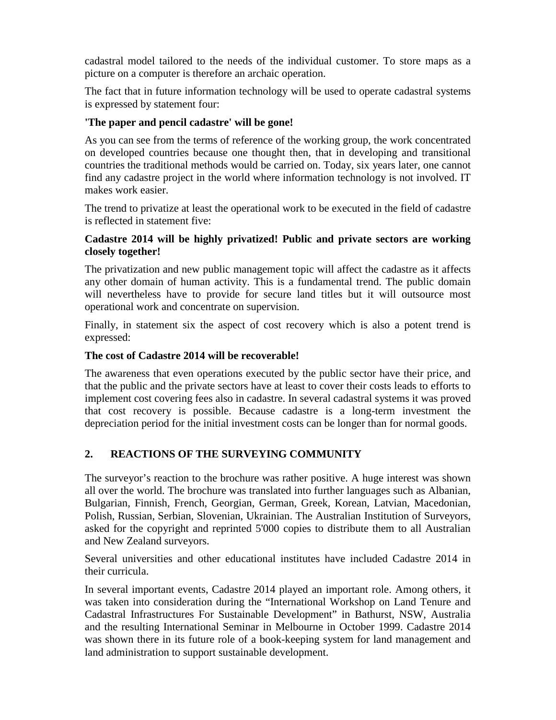cadastral model tailored to the needs of the individual customer. To store maps as a picture on a computer is therefore an archaic operation.

The fact that in future information technology will be used to operate cadastral systems is expressed by statement four:

### **'The paper and pencil cadastre' will be gone!**

As you can see from the terms of reference of the working group, the work concentrated on developed countries because one thought then, that in developing and transitional countries the traditional methods would be carried on. Today, six years later, one cannot find any cadastre project in the world where information technology is not involved. IT makes work easier.

The trend to privatize at least the operational work to be executed in the field of cadastre is reflected in statement five:

### **Cadastre 2014 will be highly privatized! Public and private sectors are working closely together!**

The privatization and new public management topic will affect the cadastre as it affects any other domain of human activity. This is a fundamental trend. The public domain will nevertheless have to provide for secure land titles but it will outsource most operational work and concentrate on supervision.

Finally, in statement six the aspect of cost recovery which is also a potent trend is expressed:

### **The cost of Cadastre 2014 will be recoverable!**

The awareness that even operations executed by the public sector have their price, and that the public and the private sectors have at least to cover their costs leads to efforts to implement cost covering fees also in cadastre. In several cadastral systems it was proved that cost recovery is possible. Because cadastre is a long-term investment the depreciation period for the initial investment costs can be longer than for normal goods.

# **2. REACTIONS OF THE SURVEYING COMMUNITY**

The surveyor's reaction to the brochure was rather positive. A huge interest was shown all over the world. The brochure was translated into further languages such as Albanian, Bulgarian, Finnish, French, Georgian, German, Greek, Korean, Latvian, Macedonian, Polish, Russian, Serbian, Slovenian, Ukrainian. The Australian Institution of Surveyors, asked for the copyright and reprinted 5'000 copies to distribute them to all Australian and New Zealand surveyors.

Several universities and other educational institutes have included Cadastre 2014 in their curricula.

In several important events, Cadastre 2014 played an important role. Among others, it was taken into consideration during the "International Workshop on Land Tenure and Cadastral Infrastructures For Sustainable Development" in Bathurst, NSW, Australia and the resulting International Seminar in Melbourne in October 1999. Cadastre 2014 was shown there in its future role of a book-keeping system for land management and land administration to support sustainable development.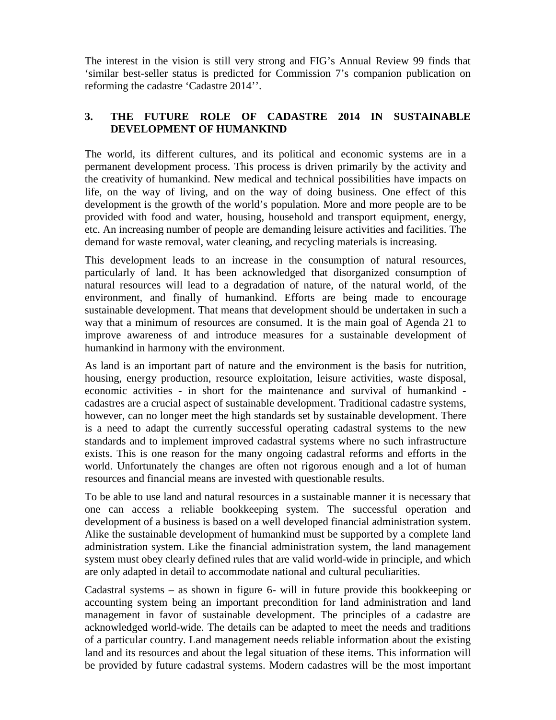The interest in the vision is still very strong and FIG's Annual Review 99 finds that 'similar best-seller status is predicted for Commission 7's companion publication on reforming the cadastre 'Cadastre 2014''.

# **3. THE FUTURE ROLE OF CADASTRE 2014 IN SUSTAINABLE DEVELOPMENT OF HUMANKIND**

The world, its different cultures, and its political and economic systems are in a permanent development process. This process is driven primarily by the activity and the creativity of humankind. New medical and technical possibilities have impacts on life, on the way of living, and on the way of doing business. One effect of this development is the growth of the world's population. More and more people are to be provided with food and water, housing, household and transport equipment, energy, etc. An increasing number of people are demanding leisure activities and facilities. The demand for waste removal, water cleaning, and recycling materials is increasing.

This development leads to an increase in the consumption of natural resources, particularly of land. It has been acknowledged that disorganized consumption of natural resources will lead to a degradation of nature, of the natural world, of the environment, and finally of humankind. Efforts are being made to encourage sustainable development. That means that development should be undertaken in such a way that a minimum of resources are consumed. It is the main goal of Agenda 21 to improve awareness of and introduce measures for a sustainable development of humankind in harmony with the environment.

As land is an important part of nature and the environment is the basis for nutrition, housing, energy production, resource exploitation, leisure activities, waste disposal, economic activities - in short for the maintenance and survival of humankind cadastres are a crucial aspect of sustainable development. Traditional cadastre systems, however, can no longer meet the high standards set by sustainable development. There is a need to adapt the currently successful operating cadastral systems to the new standards and to implement improved cadastral systems where no such infrastructure exists. This is one reason for the many ongoing cadastral reforms and efforts in the world. Unfortunately the changes are often not rigorous enough and a lot of human resources and financial means are invested with questionable results.

To be able to use land and natural resources in a sustainable manner it is necessary that one can access a reliable bookkeeping system. The successful operation and development of a business is based on a well developed financial administration system. Alike the sustainable development of humankind must be supported by a complete land administration system. Like the financial administration system, the land management system must obey clearly defined rules that are valid world-wide in principle, and which are only adapted in detail to accommodate national and cultural peculiarities.

Cadastral systems – as shown in figure 6- will in future provide this bookkeeping or accounting system being an important precondition for land administration and land management in favor of sustainable development. The principles of a cadastre are acknowledged world-wide. The details can be adapted to meet the needs and traditions of a particular country. Land management needs reliable information about the existing land and its resources and about the legal situation of these items. This information will be provided by future cadastral systems. Modern cadastres will be the most important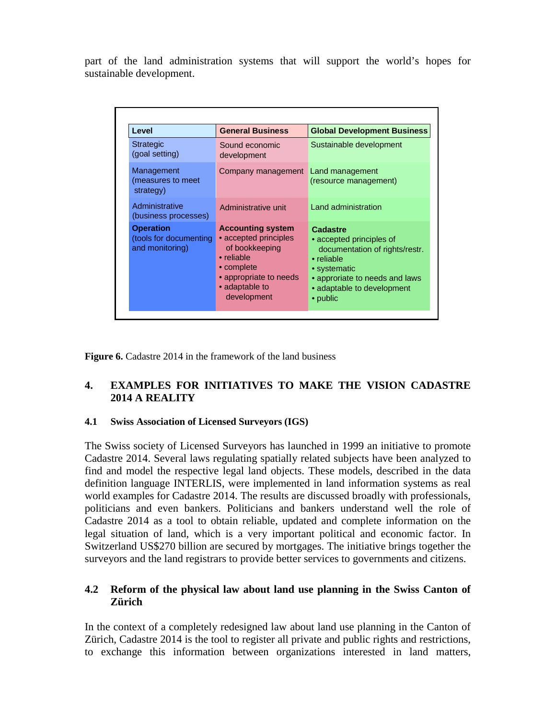part of the land administration systems that will support the world's hopes for sustainable development.

| Level                                                         | <b>General Business</b>                                                                                                                                    | <b>Global Development Business</b>                                                                                                                                               |
|---------------------------------------------------------------|------------------------------------------------------------------------------------------------------------------------------------------------------------|----------------------------------------------------------------------------------------------------------------------------------------------------------------------------------|
| <b>Strategic</b><br>(goal setting)                            | Sound economic<br>development                                                                                                                              | Sustainable development                                                                                                                                                          |
| Management<br>(measures to meet<br>strategy)                  | Company management Land management                                                                                                                         | (resource management)                                                                                                                                                            |
| Administrative<br>(business processes)                        | Administrative unit                                                                                                                                        | Land administration                                                                                                                                                              |
| <b>Operation</b><br>(tools for documenting<br>and monitoring) | <b>Accounting system</b><br>• accepted principles<br>of bookkeeping<br>• reliable<br>• complete<br>• appropriate to needs<br>• adaptable to<br>development | Cadastre<br>• accepted principles of<br>documentation of rights/restr.<br>• reliable<br>• systematic<br>• approriate to needs and laws<br>• adaptable to development<br>• public |

**Figure 6.** Cadastre 2014 in the framework of the land business

# **4. EXAMPLES FOR INITIATIVES TO MAKE THE VISION CADASTRE 2014 A REALITY**

#### **4.1 Swiss Association of Licensed Surveyors (IGS)**

The Swiss society of Licensed Surveyors has launched in 1999 an initiative to promote Cadastre 2014. Several laws regulating spatially related subjects have been analyzed to find and model the respective legal land objects. These models, described in the data definition language INTERLIS, were implemented in land information systems as real world examples for Cadastre 2014. The results are discussed broadly with professionals, politicians and even bankers. Politicians and bankers understand well the role of Cadastre 2014 as a tool to obtain reliable, updated and complete information on the legal situation of land, which is a very important political and economic factor. In Switzerland US\$270 billion are secured by mortgages. The initiative brings together the surveyors and the land registrars to provide better services to governments and citizens.

### **4.2 Reform of the physical law about land use planning in the Swiss Canton of Zürich**

In the context of a completely redesigned law about land use planning in the Canton of Zürich, Cadastre 2014 is the tool to register all private and public rights and restrictions, to exchange this information between organizations interested in land matters,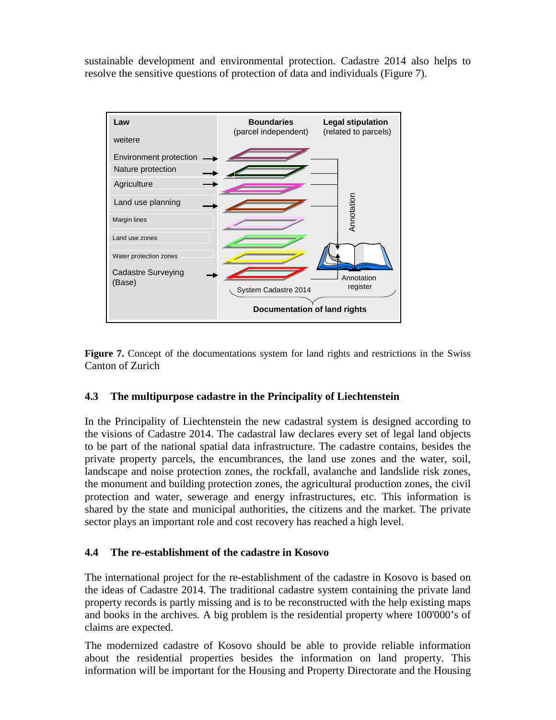sustainable development and environmental protection. Cadastre 2014 also helps to resolve the sensitive questions of protection of data and individuals (Figure 7).



**Figure 7.** Concept of the documentations system for land rights and restrictions in the Swiss Canton of Zurich

#### **4.3 The multipurpose cadastre in the Principality of Liechtenstein**

In the Principality of Liechtenstein the new cadastral system is designed according to the visions of Cadastre 2014. The cadastral law declares every set of legal land objects to be part of the national spatial data infrastructure. The cadastre contains, besides the private property parcels, the encumbrances, the land use zones and the water, soil, landscape and noise protection zones, the rockfall, avalanche and landslide risk zones, the monument and building protection zones, the agricultural production zones, the civil protection and water, sewerage and energy infrastructures, etc. This information is shared by the state and municipal authorities, the citizens and the market. The private sector plays an important role and cost recovery has reached a high level.

#### **4.4 The re-establishment of the cadastre in Kosovo**

The international project for the re-establishment of the cadastre in Kosovo is based on the ideas of Cadastre 2014. The traditional cadastre system containing the private land property records is partly missing and is to be reconstructed with the help existing maps and books in the archives. A big problem is the residential property where 100'000's of claims are expected.

The modernized cadastre of Kosovo should be able to provide reliable information about the residential properties besides the information on land property. This information will be important for the Housing and Property Directorate and the Housing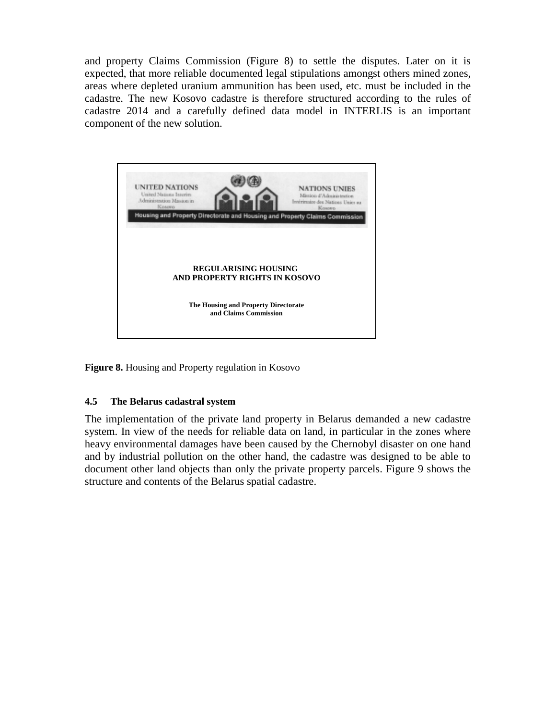and property Claims Commission (Figure 8) to settle the disputes. Later on it is expected, that more reliable documented legal stipulations amongst others mined zones, areas where depleted uranium ammunition has been used, etc. must be included in the cadastre. The new Kosovo cadastre is therefore structured according to the rules of cadastre 2014 and a carefully defined data model in INTERLIS is an important component of the new solution.



**Figure 8.** Housing and Property regulation in Kosovo

#### **4.5 The Belarus cadastral system**

The implementation of the private land property in Belarus demanded a new cadastre system. In view of the needs for reliable data on land, in particular in the zones where heavy environmental damages have been caused by the Chernobyl disaster on one hand and by industrial pollution on the other hand, the cadastre was designed to be able to document other land objects than only the private property parcels. Figure 9 shows the structure and contents of the Belarus spatial cadastre.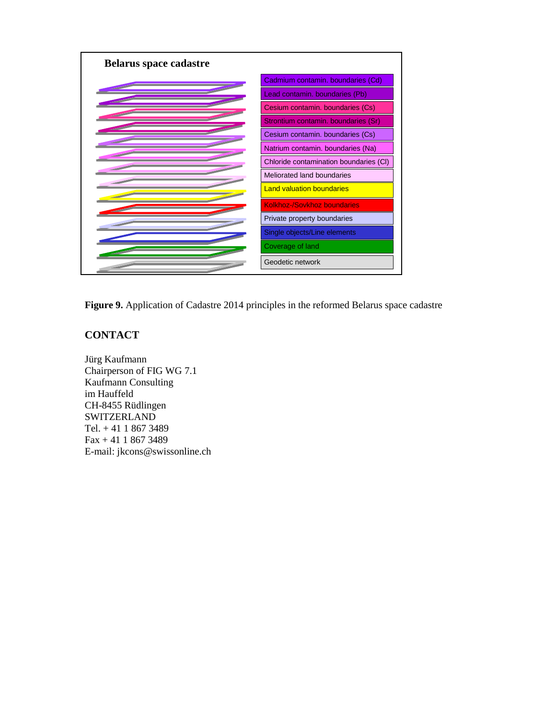

**Figure 9.** Application of Cadastre 2014 principles in the reformed Belarus space cadastre

# **CONTACT**

Jürg Kaufmann Chairperson of FIG WG 7.1 Kaufmann Consulting im Hauffeld CH-8455 Rüdlingen **SWITZERLAND** Tel. + 41 1 867 3489 Fax + 41 1 867 3489 E-mail: jkcons@swissonline.ch